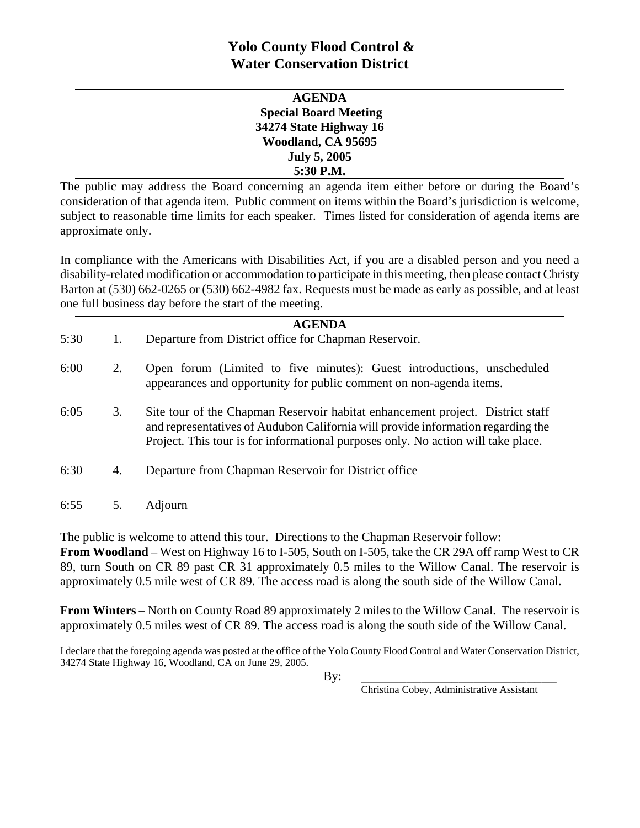# **Yolo County Flood Control & Water Conservation District**

| <b>AGENDA</b>                |
|------------------------------|
| <b>Special Board Meeting</b> |
| 34274 State Highway 16       |
| Woodland, CA 95695           |
| <b>July 5, 2005</b>          |
| 5:30 P.M.                    |

The public may address the Board concerning an agenda item either before or during the Board's consideration of that agenda item. Public comment on items within the Board's jurisdiction is welcome, subject to reasonable time limits for each speaker. Times listed for consideration of agenda items are approximate only.

In compliance with the Americans with Disabilities Act, if you are a disabled person and you need a disability-related modification or accommodation to participate in this meeting, then please contact Christy Barton at (530) 662-0265 or (530) 662-4982 fax. Requests must be made as early as possible, and at least one full business day before the start of the meeting.

| <b>AGENDA</b> |    |                                                                                                                                                                                                                                                         |  |
|---------------|----|---------------------------------------------------------------------------------------------------------------------------------------------------------------------------------------------------------------------------------------------------------|--|
| 5:30          | 1. | Departure from District office for Chapman Reservoir.                                                                                                                                                                                                   |  |
| 6:00          | 2. | Open forum (Limited to five minutes): Guest introductions, unscheduled<br>appearances and opportunity for public comment on non-agenda items.                                                                                                           |  |
| 6:05          | 3. | Site tour of the Chapman Reservoir habitat enhancement project. District staff<br>and representatives of Audubon California will provide information regarding the<br>Project. This tour is for informational purposes only. No action will take place. |  |
| 6:30          | 4. | Departure from Chapman Reservoir for District office                                                                                                                                                                                                    |  |
| 6:55          | 5. | Adjourn                                                                                                                                                                                                                                                 |  |

The public is welcome to attend this tour. Directions to the Chapman Reservoir follow: **From Woodland** – West on Highway 16 to I-505, South on I-505, take the CR 29A off ramp West to CR 89, turn South on CR 89 past CR 31 approximately 0.5 miles to the Willow Canal. The reservoir is approximately 0.5 mile west of CR 89. The access road is along the south side of the Willow Canal.

**From Winters** – North on County Road 89 approximately 2 miles to the Willow Canal. The reservoir is approximately 0.5 miles west of CR 89. The access road is along the south side of the Willow Canal.

I declare that the foregoing agenda was posted at the office of the Yolo County Flood Control and Water Conservation District, 34274 State Highway 16, Woodland, CA on June 29, 2005.

 $\mathbf{By:}$ 

Christina Cobey, Administrative Assistant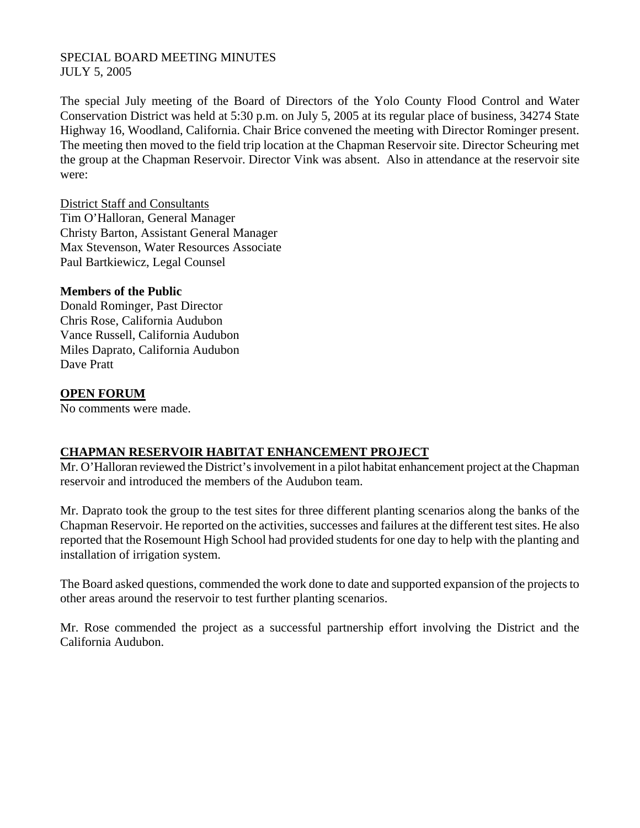## SPECIAL BOARD MEETING MINUTES JULY 5, 2005

The special July meeting of the Board of Directors of the Yolo County Flood Control and Water Conservation District was held at 5:30 p.m. on July 5, 2005 at its regular place of business, 34274 State Highway 16, Woodland, California. Chair Brice convened the meeting with Director Rominger present. The meeting then moved to the field trip location at the Chapman Reservoir site. Director Scheuring met the group at the Chapman Reservoir. Director Vink was absent. Also in attendance at the reservoir site were:

District Staff and Consultants Tim O'Halloran, General Manager Christy Barton, Assistant General Manager Max Stevenson, Water Resources Associate Paul Bartkiewicz, Legal Counsel

#### **Members of the Public**

Donald Rominger, Past Director Chris Rose, California Audubon Vance Russell, California Audubon Miles Daprato, California Audubon Dave Pratt

### **OPEN FORUM**

No comments were made.

## **CHAPMAN RESERVOIR HABITAT ENHANCEMENT PROJECT**

Mr. O'Halloran reviewed the District's involvement in a pilot habitat enhancement project at the Chapman reservoir and introduced the members of the Audubon team.

Mr. Daprato took the group to the test sites for three different planting scenarios along the banks of the Chapman Reservoir. He reported on the activities, successes and failures at the different test sites. He also reported that the Rosemount High School had provided students for one day to help with the planting and installation of irrigation system.

The Board asked questions, commended the work done to date and supported expansion of the projects to other areas around the reservoir to test further planting scenarios.

Mr. Rose commended the project as a successful partnership effort involving the District and the California Audubon.